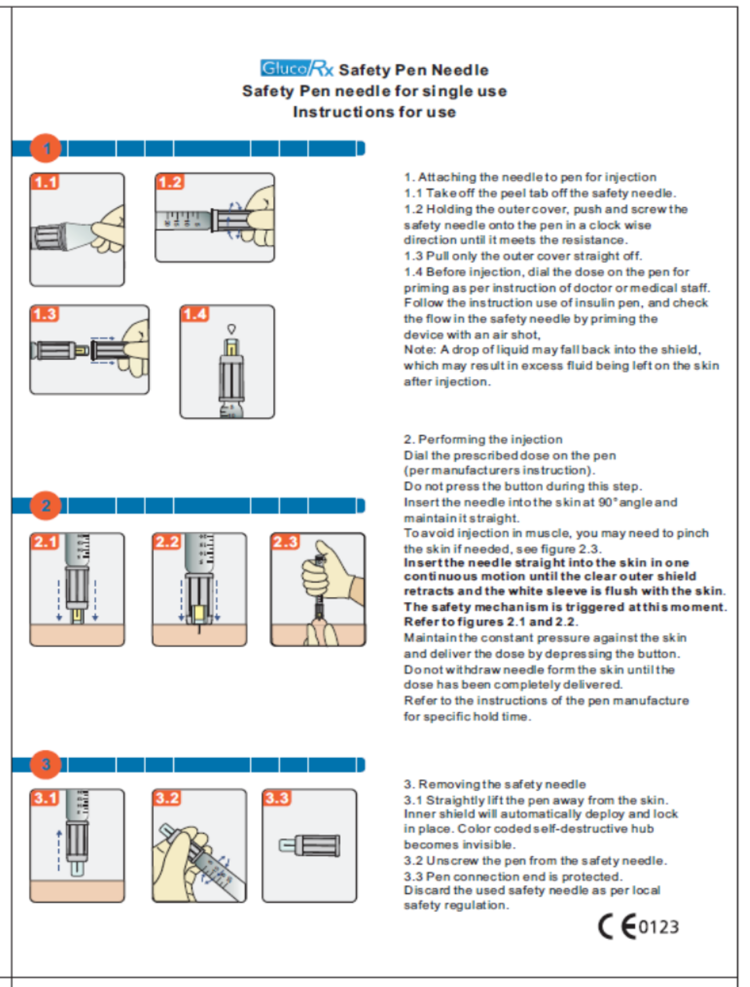# Gluco Rx Safety Pen Needle **Safety Pen needle for single use** Instructions for use









1. Attaching the needle to pen for injection

1.1 Take off the peel tab off the safety needle. 1.2 Holding the outer cover, push and screw the safety needle onto the pen in a clock wise direction until it meets the resistance.

1.3 Pull only the outer cover straight off.

1.4 Before injection, dial the dose on the pen for priming as per instruction of doctor or medical staff. Follow the instruction use of insulin pen, and check the flow in the safety needle by priming the device with an air shot.

Note: A drop of liquid may fall back into the shield, which may result in excess fluid being left on the skin after injection.

#### 2. Performing the injection

Dial the prescribed dose on the pen (permanufacturers instruction). Do not press the button during this step. Insert the needle into the skin at 90° angle and

maintain it straight.

To avoid injection in muscle, you may need to pinch the skin if needed, see figure 2.3.

Insert the needle straight into the skin in one continuous motion until the clear outer shield retracts and the white sleeve is flush with the skin. The safety mechanism is triggered at this moment. Refer to figures 2.1 and 2.2.

Maintain the constant pressure against the skin and deliver the dose by depressing the button. Do not withdraw needle form the skin until the dose has been completely delivered. Refer to the instructions of the pen manufacture for specific hold time.





3. Removing the safety needle

3.1 Straightly lift the pen away from the skin. Inner shield will automatically deploy and lock in place. Color coded self-destructive hub becomes invisible.

3.2 Unscrew the pen from the safety needle.

3.3 Pen connection end is protected.

Discard the used safety needle as per local safety regulation.

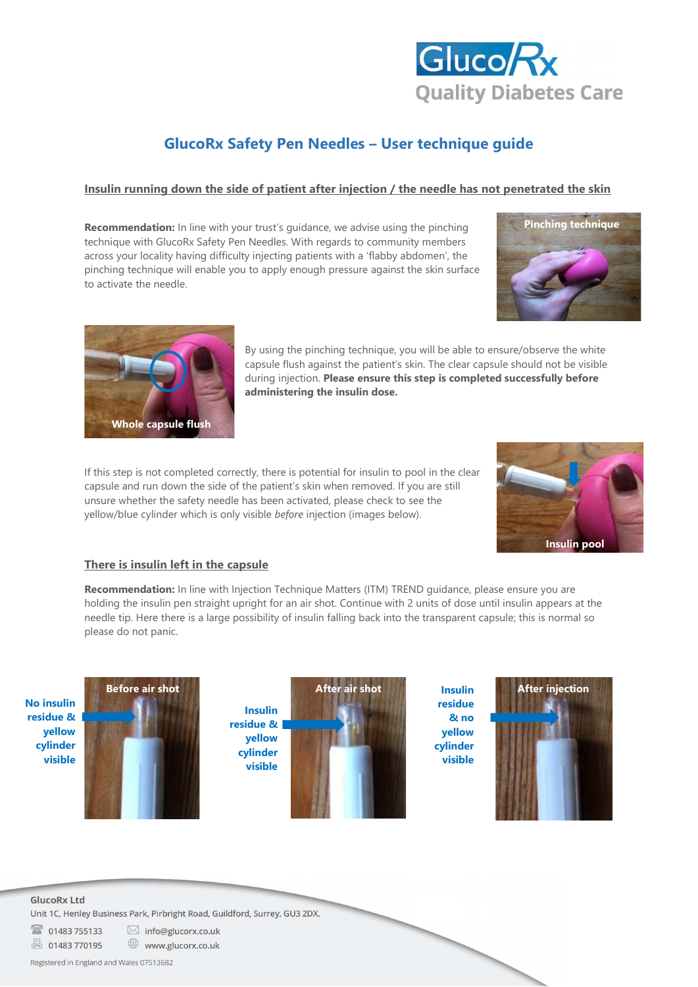

# GlucoRx Safety Pen Needles – User technique guide

## Insulin running down the side of patient after injection / the needle has not penetrated the skin

Recommendation: In line with your trust's guidance, we advise using the pinching technique with GlucoRx Safety Pen Needles. With regards to community members across your locality having difficulty injecting patients with a 'flabby abdomen', the pinching technique will enable you to apply enough pressure against the skin surface to activate the needle.





By using the pinching technique, you will be able to ensure/observe the white capsule flush against the patient's skin. The clear capsule should not be visible during injection. Please ensure this step is completed successfully before administering the insulin dose.

If this step is not completed correctly, there is potential for insulin to pool in the clear capsule and run down the side of the patient's skin when removed. If you are still unsure whether the safety needle has been activated, please check to see the yellow/blue cylinder which is only visible before injection (images below).



### There is insulin left in the capsule

Recommendation: In line with Injection Technique Matters (ITM) TREND quidance, please ensure you are holding the insulin pen straight upright for an air shot. Continue with 2 units of dose until insulin appears at the needle tip. Here there is a large possibility of insulin falling back into the transparent capsule; this is normal so please do not panic.

No insulin residue & yellow cylinder visible





Insulin residue & no yellow cylinder visible



**GlucoRx Ltd** 

Unit 1C, Henley Business Park, Pirbright Road, Guildford, Surrey, GU3 2DX.  $\boxtimes$  info@glucorx.co.uk

2 01483 755133

■ 01483 770195 www.glucorx.co.uk

Registered in England and Wales 07513682